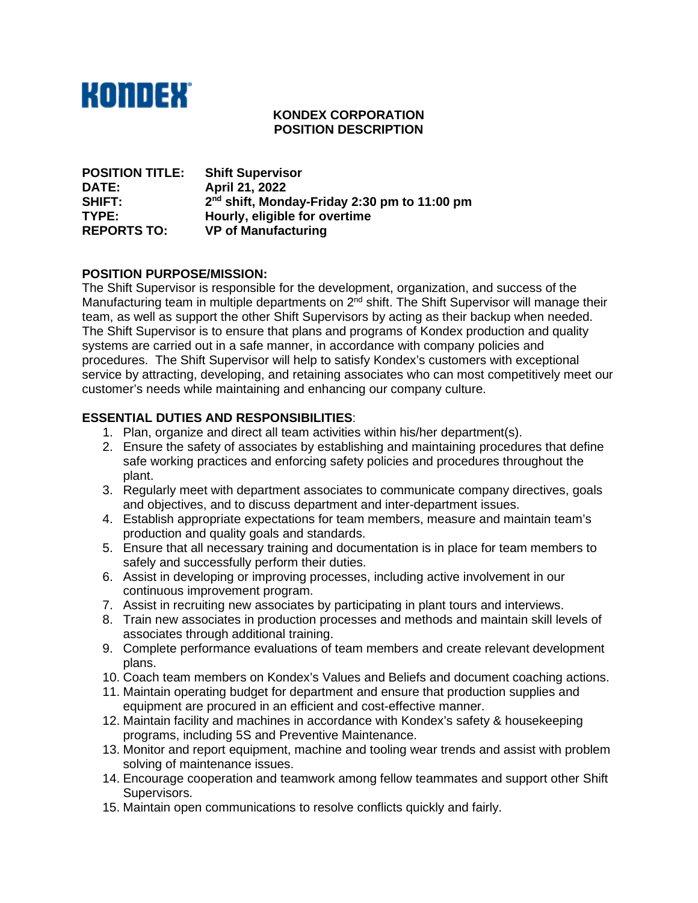

### **KONDEX CORPORATION POSITION DESCRIPTION**

| <b>POSITION TITLE:</b> | <b>Shift Supervisor</b>                                  |
|------------------------|----------------------------------------------------------|
| <b>DATE:</b>           | April 21, 2022                                           |
| SHIFT:                 | 2 <sup>nd</sup> shift, Monday-Friday 2:30 pm to 11:00 pm |
| <b>TYPE:</b>           | Hourly, eligible for overtime                            |
| <b>REPORTS TO:</b>     | <b>VP of Manufacturing</b>                               |

### **POSITION PURPOSE/MISSION:**

The Shift Supervisor is responsible for the development, organization, and success of the Manufacturing team in multiple departments on 2<sup>nd</sup> shift. The Shift Supervisor will manage their team, as well as support the other Shift Supervisors by acting as their backup when needed. The Shift Supervisor is to ensure that plans and programs of Kondex production and quality systems are carried out in a safe manner, in accordance with company policies and procedures. The Shift Supervisor will help to satisfy Kondex's customers with exceptional service by attracting, developing, and retaining associates who can most competitively meet our customer's needs while maintaining and enhancing our company culture.

# **ESSENTIAL DUTIES AND RESPONSIBILITIES**:

- 1. Plan, organize and direct all team activities within his/her department(s).
- 2. Ensure the safety of associates by establishing and maintaining procedures that define safe working practices and enforcing safety policies and procedures throughout the plant.
- 3. Regularly meet with department associates to communicate company directives, goals and objectives, and to discuss department and inter-department issues.
- 4. Establish appropriate expectations for team members, measure and maintain team's production and quality goals and standards.
- 5. Ensure that all necessary training and documentation is in place for team members to safely and successfully perform their duties.
- 6. Assist in developing or improving processes, including active involvement in our continuous improvement program.
- 7. Assist in recruiting new associates by participating in plant tours and interviews.
- 8. Train new associates in production processes and methods and maintain skill levels of associates through additional training.
- 9. Complete performance evaluations of team members and create relevant development plans.
- 10. Coach team members on Kondex's Values and Beliefs and document coaching actions.
- 11. Maintain operating budget for department and ensure that production supplies and equipment are procured in an efficient and cost-effective manner.
- 12. Maintain facility and machines in accordance with Kondex's safety & housekeeping programs, including 5S and Preventive Maintenance.
- 13. Monitor and report equipment, machine and tooling wear trends and assist with problem solving of maintenance issues.
- 14. Encourage cooperation and teamwork among fellow teammates and support other Shift Supervisors.
- 15. Maintain open communications to resolve conflicts quickly and fairly.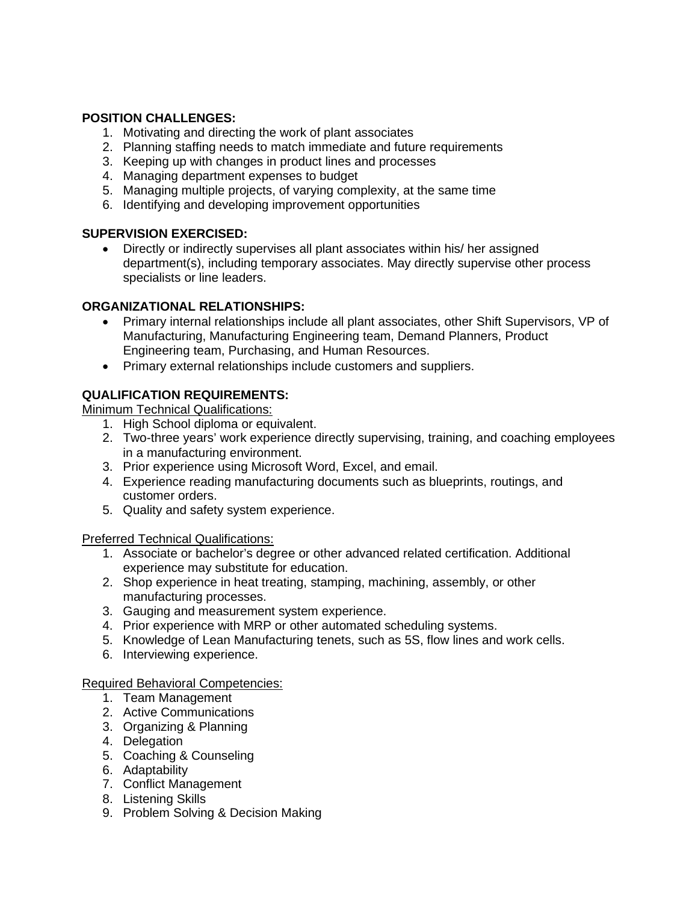# **POSITION CHALLENGES:**

- 1. Motivating and directing the work of plant associates
- 2. Planning staffing needs to match immediate and future requirements
- 3. Keeping up with changes in product lines and processes
- 4. Managing department expenses to budget
- 5. Managing multiple projects, of varying complexity, at the same time
- 6. Identifying and developing improvement opportunities

## **SUPERVISION EXERCISED:**

• Directly or indirectly supervises all plant associates within his/ her assigned department(s), including temporary associates. May directly supervise other process specialists or line leaders.

# **ORGANIZATIONAL RELATIONSHIPS:**

- Primary internal relationships include all plant associates, other Shift Supervisors, VP of Manufacturing, Manufacturing Engineering team, Demand Planners, Product Engineering team, Purchasing, and Human Resources.
- Primary external relationships include customers and suppliers.

# **QUALIFICATION REQUIREMENTS:**

Minimum Technical Qualifications:

- 1. High School diploma or equivalent.
- 2. Two-three years' work experience directly supervising, training, and coaching employees in a manufacturing environment.
- 3. Prior experience using Microsoft Word, Excel, and email.
- 4. Experience reading manufacturing documents such as blueprints, routings, and customer orders.
- 5. Quality and safety system experience.

Preferred Technical Qualifications:

- 1. Associate or bachelor's degree or other advanced related certification. Additional experience may substitute for education.
- 2. Shop experience in heat treating, stamping, machining, assembly, or other manufacturing processes.
- 3. Gauging and measurement system experience.
- 4. Prior experience with MRP or other automated scheduling systems.
- 5. Knowledge of Lean Manufacturing tenets, such as 5S, flow lines and work cells.
- 6. Interviewing experience.

# Required Behavioral Competencies:

- 1. Team Management
- 2. Active Communications
- 3. Organizing & Planning
- 4. Delegation
- 5. Coaching & Counseling
- 6. Adaptability
- 7. Conflict Management
- 8. Listening Skills
- 9. Problem Solving & Decision Making